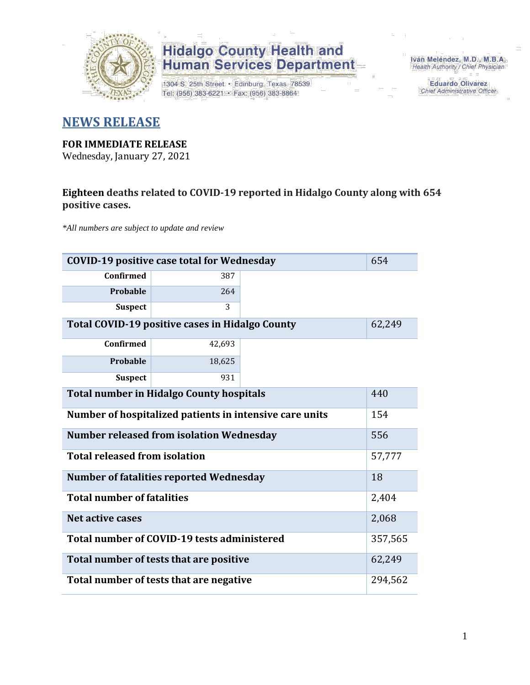

1304 S. 25th Street · Edinburg, Texas 78539 Tel: (956) 383-6221 · Fax: (956) 383-8864

Iván Meléndez, M.D., M.B.A. Health Authority / Chief Physician

> **Eduardo Olivarez** Chief Administrative Officer

#### **NEWS RELEASE**

#### **FOR IMMEDIATE RELEASE**

Wednesday, January 27, 2021

#### **Eighteen deaths related to COVID-19 reported in Hidalgo County along with 654 positive cases.**

*\*All numbers are subject to update and review*

|                                                                | 654<br><b>COVID-19 positive case total for Wednesday</b> |  |         |  |  |  |  |  |  |  |  |  |
|----------------------------------------------------------------|----------------------------------------------------------|--|---------|--|--|--|--|--|--|--|--|--|
| <b>Confirmed</b>                                               | 387                                                      |  |         |  |  |  |  |  |  |  |  |  |
| Probable                                                       | 264                                                      |  |         |  |  |  |  |  |  |  |  |  |
| <b>Suspect</b>                                                 | 3                                                        |  |         |  |  |  |  |  |  |  |  |  |
| Total COVID-19 positive cases in Hidalgo County<br>62,249      |                                                          |  |         |  |  |  |  |  |  |  |  |  |
| <b>Confirmed</b>                                               | 42,693                                                   |  |         |  |  |  |  |  |  |  |  |  |
| Probable                                                       | 18,625                                                   |  |         |  |  |  |  |  |  |  |  |  |
| <b>Suspect</b>                                                 | 931                                                      |  |         |  |  |  |  |  |  |  |  |  |
| <b>Total number in Hidalgo County hospitals</b><br>440         |                                                          |  |         |  |  |  |  |  |  |  |  |  |
| Number of hospitalized patients in intensive care units<br>154 |                                                          |  |         |  |  |  |  |  |  |  |  |  |
|                                                                | <b>Number released from isolation Wednesday</b>          |  | 556     |  |  |  |  |  |  |  |  |  |
| <b>Total released from isolation</b>                           |                                                          |  | 57,777  |  |  |  |  |  |  |  |  |  |
|                                                                | <b>Number of fatalities reported Wednesday</b>           |  | 18      |  |  |  |  |  |  |  |  |  |
| <b>Total number of fatalities</b>                              |                                                          |  | 2,404   |  |  |  |  |  |  |  |  |  |
| Net active cases                                               |                                                          |  | 2,068   |  |  |  |  |  |  |  |  |  |
|                                                                | Total number of COVID-19 tests administered<br>357,565   |  |         |  |  |  |  |  |  |  |  |  |
| 62,249<br>Total number of tests that are positive              |                                                          |  |         |  |  |  |  |  |  |  |  |  |
|                                                                | Total number of tests that are negative                  |  | 294,562 |  |  |  |  |  |  |  |  |  |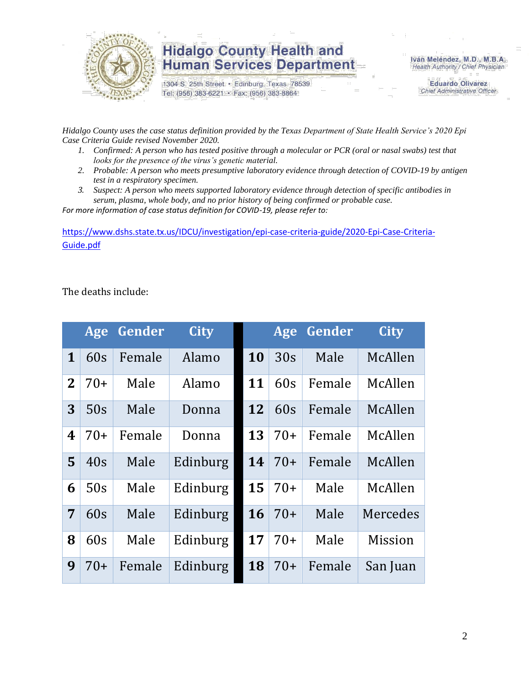

1304 S. 25th Street · Edinburg, Texas 78539 Tel: (956) 383-6221 · Fax: (956) 383-8864

Iván Meléndez, M.D., M.B.A. Health Authority / Chief Physician

> **Eduardo Olivarez** Chief Administrative Officer

*Hidalgo County uses the case status definition provided by the Texas Department of State Health Service's 2020 Epi Case Criteria Guide revised November 2020.*

- *1. Confirmed: A person who has tested positive through a molecular or PCR (oral or nasal swabs) test that looks for the presence of the virus's genetic material.*
- *2. Probable: A person who meets presumptive laboratory evidence through detection of COVID-19 by antigen test in a respiratory specimen.*
- *3. Suspect: A person who meets supported laboratory evidence through detection of specific antibodies in serum, plasma, whole body, and no prior history of being confirmed or probable case.*

*For more information of case status definition for COVID-19, please refer to:*

[https://www.dshs.state.tx.us/IDCU/investigation/epi-case-criteria-guide/2020-Epi-Case-Criteria-](https://www.dshs.state.tx.us/IDCU/investigation/epi-case-criteria-guide/2020-Epi-Case-Criteria-Guide.pdf)[Guide.pdf](https://www.dshs.state.tx.us/IDCU/investigation/epi-case-criteria-guide/2020-Epi-Case-Criteria-Guide.pdf)

The deaths include:

|                  | Age   | Gender | <b>City</b> |    | Age   | Gender | <b>City</b>    |
|------------------|-------|--------|-------------|----|-------|--------|----------------|
| $\mathbf{1}$     | 60s   | Female | Alamo       | 10 | 30s   | Male   | McAllen        |
| $\mathbf{2}$     | $70+$ | Male   | Alamo       | 11 | 60s   | Female | McAllen        |
| 3                | 50s   | Male   | Donna       | 12 | 60s   | Female | McAllen        |
| $\boldsymbol{4}$ | $70+$ | Female | Donna       | 13 | $70+$ | Female | McAllen        |
| 5                | 40s   | Male   | Edinburg    | 14 | $70+$ | Female | McAllen        |
| 6                | 50s   | Male   | Edinburg    | 15 | $70+$ | Male   | McAllen        |
| 7                | 60s   | Male   | Edinburg    | 16 | $70+$ | Male   | Mercedes       |
| 8                | 60s   | Male   | Edinburg    | 17 | $70+$ | Male   | <b>Mission</b> |
| 9                | $70+$ | Female | Edinburg    | 18 | $70+$ | Female | San Juan       |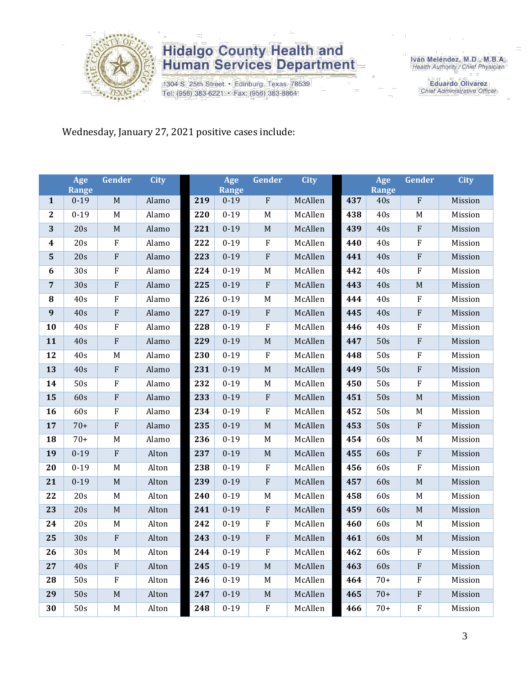

1304 S. 25th Street · Edinburg, Texas 78539 Tel: (956) 383-6221 · Fax: (956) 383-8864

Iván Meléndez, M.D., M.B.A.<br>Health Authority / Chief Physician

**Eduardo Olivarez** Chief Administrative Officer

Wednesday, January 27, 2021 positive cases include:

|                         | Age<br><b>Range</b> | <b>Gender</b>           | <b>City</b> |     | Age<br><b>Range</b> | <b>Gender</b>           | <b>City</b> |     | Age<br><b>Range</b> | <b>Gender</b>             | <b>City</b> |
|-------------------------|---------------------|-------------------------|-------------|-----|---------------------|-------------------------|-------------|-----|---------------------|---------------------------|-------------|
| $\mathbf{1}$            | $0 - 19$            | M                       | Alamo       | 219 | $0 - 19$            | ${\bf F}$               | McAllen     | 437 | 40s                 | ${\bf F}$                 | Mission     |
| $\overline{2}$          | $0 - 19$            | M                       | Alamo       | 220 | $0 - 19$            | $\mathbf M$             | McAllen     | 438 | 40s                 | M                         | Mission     |
| 3                       | 20s                 | $\mathbf M$             | Alamo       | 221 | $0 - 19$            | $\mathbf M$             | McAllen     | 439 | 40s                 | ${\bf F}$                 | Mission     |
| $\boldsymbol{4}$        | 20s                 | ${\bf F}$               | Alamo       | 222 | $0 - 19$            | $\rm F$                 | McAllen     | 440 | 40s                 | $\boldsymbol{\mathrm{F}}$ | Mission     |
| $\overline{\mathbf{5}}$ | 20s                 | ${\bf F}$               | Alamo       | 223 | $0 - 19$            | $\rm F$                 | McAllen     | 441 | 40s                 | ${\bf F}$                 | Mission     |
| $\boldsymbol{6}$        | 30s                 | ${\bf F}$               | Alamo       | 224 | $0 - 19$            | $\mathbf M$             | McAllen     | 442 | 40s                 | ${\bf F}$                 | Mission     |
| $\sqrt{7}$              | 30s                 | $\overline{\mathrm{F}}$ | Alamo       | 225 | $0 - 19$            | $\overline{\mathrm{F}}$ | McAllen     | 443 | 40s                 | $\mathbf M$               | Mission     |
| ${\bf 8}$               | 40s                 | ${\bf F}$               | Alamo       | 226 | $0 - 19$            | $\mathbf M$             | McAllen     | 444 | 40s                 | ${\bf F}$                 | Mission     |
| $\overline{9}$          | 40s                 | $\overline{\mathrm{F}}$ | Alamo       | 227 | $0 - 19$            | $\overline{F}$          | McAllen     | 445 | 40s                 | $\overline{\mathrm{F}}$   | Mission     |
| 10                      | 40s                 | ${\bf F}$               | Alamo       | 228 | $0 - 19$            | $\rm F$                 | McAllen     | 446 | 40s                 | ${\bf F}$                 | Mission     |
| 11                      | 40s                 | $\rm F$                 | Alamo       | 229 | $0 - 19$            | $\mathbf M$             | McAllen     | 447 | 50s                 | ${\bf F}$                 | Mission     |
| 12                      | 40s                 | M                       | Alamo       | 230 | $0 - 19$            | $\overline{F}$          | McAllen     | 448 | 50s                 | $\overline{\mathrm{F}}$   | Mission     |
| 13                      | 40s                 | ${\bf F}$               | Alamo       | 231 | $0 - 19$            | $\mathbf M$             | McAllen     | 449 | 50s                 | ${\bf F}$                 | Mission     |
| 14                      | 50s                 | ${\bf F}$               | Alamo       | 232 | $0 - 19$            | $\mathbf M$             | McAllen     | 450 | 50s                 | $\rm F$                   | Mission     |
| 15                      | 60s                 | $\overline{\mathrm{F}}$ | Alamo       | 233 | $0 - 19$            | $\overline{F}$          | McAllen     | 451 | 50s                 | M                         | Mission     |
| 16                      | 60s                 | ${\bf F}$               | Alamo       | 234 | $0 - 19$            | $\rm F$                 | McAllen     | 452 | 50s                 | M                         | Mission     |
| 17                      | $70+$               | ${\bf F}$               | Alamo       | 235 | $0 - 19$            | $\mathbf M$             | McAllen     | 453 | 50s                 | $\rm F$                   | Mission     |
| 18                      | $70+$               | $\mathbf M$             | Alamo       | 236 | $0 - 19$            | $\mathbf M$             | McAllen     | 454 | 60s                 | M                         | Mission     |
| 19                      | $0 - 19$            | ${\bf F}$               | Alton       | 237 | $0 - 19$            | $\mathbf M$             | McAllen     | 455 | 60s                 | ${\bf F}$                 | Mission     |
| 20                      | $0 - 19$            | M                       | Alton       | 238 | $0 - 19$            | $\rm F$                 | McAllen     | 456 | 60s                 | $\rm F$                   | Mission     |
| 21                      | $0 - 19$            | M                       | Alton       | 239 | $0 - 19$            | $\overline{F}$          | McAllen     | 457 | 60s                 | $\mathbf M$               | Mission     |
| 22                      | 20s                 | $\mathbf M$             | Alton       | 240 | $0 - 19$            | $\mathbf M$             | McAllen     | 458 | 60s                 | M                         | Mission     |
| 23                      | 20s                 | M                       | Alton       | 241 | $0 - 19$            | $\overline{F}$          | McAllen     | 459 | 60s                 | M                         | Mission     |
| 24                      | 20s                 | M                       | Alton       | 242 | $0 - 19$            | $\rm F$                 | McAllen     | 460 | 60s                 | M                         | Mission     |
| 25                      | 30s                 | ${\bf F}$               | Alton       | 243 | $0 - 19$            | $\rm F$                 | McAllen     | 461 | 60s                 | $\mathbf M$               | Mission     |
| 26                      | 30s                 | $\mathbf M$             | Alton       | 244 | $0 - 19$            | $\rm F$                 | McAllen     | 462 | 60s                 | $\rm F$                   | Mission     |
| 27                      | 40s                 | ${\bf F}$               | Alton       | 245 | $0 - 19$            | $\mathbf M$             | McAllen     | 463 | 60s                 | ${\bf F}$                 | Mission     |
| 28                      | 50s                 | $\rm F$                 | Alton       | 246 | $0 - 19$            | $\mathbf M$             | McAllen     | 464 | $70+$               | $\rm F$                   | Mission     |
| 29                      | 50s                 | $\mathbf M$             | Alton       | 247 | $0 - 19$            | $\mathbf M$             | McAllen     | 465 | $70+$               | ${\bf F}$                 | Mission     |
| 30                      | 50s                 | $\mathbf M$             | Alton       | 248 | $0 - 19$            | $\rm F$                 | McAllen     | 466 | $70+$               | $\overline{\mathrm{F}}$   | Mission     |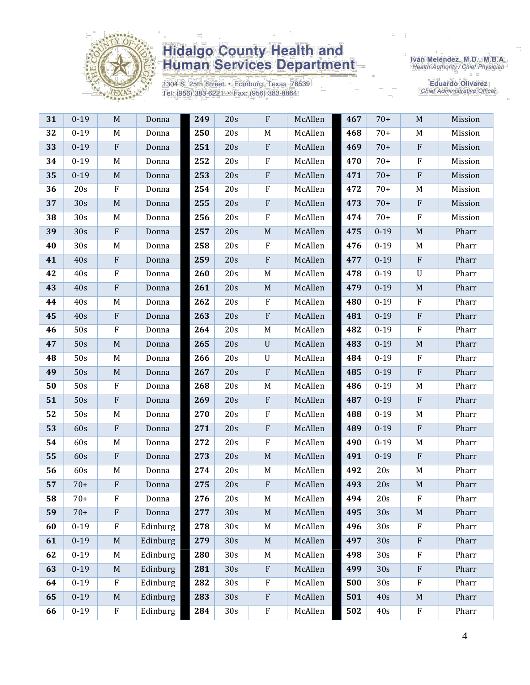

1304 S. 25th Street · Edinburg, Texas 78539 Tel: (956) 383-6221 · Fax: (956) 383-8864

Iván Meléndez, M.D., M.B.A.<br>Health Authority / Chief Physician

**Eduardo Olivarez** Chief Administrative Officer

| 31 | $0 - 19$ | $\mathbf M$               | Donna    | 249 | 20s             | $\mathbf{F}$              | McAllen | 467 | $70+$    | M                         | Mission |
|----|----------|---------------------------|----------|-----|-----------------|---------------------------|---------|-----|----------|---------------------------|---------|
| 32 | $0 - 19$ | M                         | Donna    | 250 | 20s             | M                         | McAllen | 468 | $70+$    | M                         | Mission |
| 33 | $0 - 19$ | $\rm F$                   | Donna    | 251 | 20s             | ${\bf F}$                 | McAllen | 469 | $70+$    | $\rm F$                   | Mission |
| 34 | $0 - 19$ | M                         | Donna    | 252 | 20s             | $\mathbf F$               | McAllen | 470 | $70+$    | $\mathbf{F}$              | Mission |
| 35 | $0 - 19$ | $\mathbf M$               | Donna    | 253 | 20s             | ${\bf F}$                 | McAllen | 471 | $70+$    | $\rm F$                   | Mission |
| 36 | 20s      | $\rm F$                   | Donna    | 254 | 20s             | $\rm F$                   | McAllen | 472 | $70+$    | M                         | Mission |
| 37 | 30s      | $\mathbf M$               | Donna    | 255 | 20s             | $\rm F$                   | McAllen | 473 | $70+$    | $\boldsymbol{\mathrm{F}}$ | Mission |
| 38 | 30s      | M                         | Donna    | 256 | 20s             | ${\bf F}$                 | McAllen | 474 | $70+$    | $\mathbf F$               | Mission |
| 39 | 30s      | $\boldsymbol{\mathrm{F}}$ | Donna    | 257 | 20s             | $\mathbf M$               | McAllen | 475 | $0 - 19$ | $\mathbf M$               | Pharr   |
| 40 | 30s      | M                         | Donna    | 258 | 20s             | F                         | McAllen | 476 | $0 - 19$ | M                         | Pharr   |
| 41 | 40s      | $\rm F$                   | Donna    | 259 | 20s             | $\rm F$                   | McAllen | 477 | $0 - 19$ | $\mathbf{F}$              | Pharr   |
| 42 | 40s      | $\rm F$                   | Donna    | 260 | 20s             | M                         | McAllen | 478 | $0 - 19$ | $\ensuremath{\mathrm{U}}$ | Pharr   |
| 43 | 40s      | ${\bf F}$                 | Donna    | 261 | 20s             | $\mathbf M$               | McAllen | 479 | $0 - 19$ | $\mathbf M$               | Pharr   |
| 44 | 40s      | M                         | Donna    | 262 | 20s             | F                         | McAllen | 480 | $0 - 19$ | $\mathbf F$               | Pharr   |
| 45 | 40s      | ${\bf F}$                 | Donna    | 263 | 20s             | ${\bf F}$                 | McAllen | 481 | $0 - 19$ | $\rm F$                   | Pharr   |
| 46 | 50s      | ${\bf F}$                 | Donna    | 264 | 20s             | M                         | McAllen | 482 | $0 - 19$ | $\mathbf{F}$              | Pharr   |
| 47 | 50s      | $\mathbf M$               | Donna    | 265 | 20s             | $\mathbf U$               | McAllen | 483 | $0 - 19$ | $M_{\odot}$               | Pharr   |
| 48 | 50s      | M                         | Donna    | 266 | 20s             | $\mathbf U$               | McAllen | 484 | $0 - 19$ | $\mathbf F$               | Pharr   |
| 49 | 50s      | $\mathbf M$               | Donna    | 267 | 20s             | ${\bf F}$                 | McAllen | 485 | $0 - 19$ | $\rm F$                   | Pharr   |
| 50 | 50s      | $\rm F$                   | Donna    | 268 | 20s             | M                         | McAllen | 486 | $0 - 19$ | M                         | Pharr   |
| 51 | 50s      | $\rm F$                   | Donna    | 269 | 20s             | $\boldsymbol{\mathrm{F}}$ | McAllen | 487 | $0 - 19$ | $\mathbf{F}$              | Pharr   |
| 52 | 50s      | M                         | Donna    | 270 | 20s             | ${\bf F}$                 | McAllen | 488 | $0 - 19$ | M                         | Pharr   |
| 53 | 60s      | $\boldsymbol{\mathrm{F}}$ | Donna    | 271 | 20s             | ${\bf F}$                 | McAllen | 489 | $0 - 19$ | $\rm F$                   | Pharr   |
| 54 | 60s      | M                         | Donna    | 272 | 20s             | $\rm F$                   | McAllen | 490 | $0 - 19$ | M                         | Pharr   |
| 55 | 60s      | $\rm F$                   | Donna    | 273 | 20s             | $\mathbf M$               | McAllen | 491 | $0 - 19$ | $\rm F$                   | Pharr   |
| 56 | 60s      | M                         | Donna    | 274 | 20s             | M                         | McAllen | 492 | 20s      | M                         | Pharr   |
| 57 | $70+$    | $\rm F$                   | Donna    | 275 | 20s             | $\boldsymbol{\mathrm{F}}$ | McAllen | 493 | 20s      | $M_{\odot}$               | Pharr   |
| 58 | $70+$    | F                         | Donna    | 276 | 20s             | M                         | McAllen | 494 | 20s      | $\boldsymbol{\mathrm{F}}$ | Pharr   |
| 59 | $70+$    | $\rm F$                   | Donna    | 277 | 30s             | $\mathbf M$               | McAllen | 495 | 30s      | M                         | Pharr   |
| 60 | $0 - 19$ | ${\bf F}$                 | Edinburg | 278 | 30s             | M                         | McAllen | 496 | 30s      | $\mathbf{F}$              | Pharr   |
| 61 | $0 - 19$ | $\mathbf M$               | Edinburg | 279 | 30s             | $\mathbf M$               | McAllen | 497 | 30s      | $\rm F$                   | Pharr   |
| 62 | $0 - 19$ | M                         | Edinburg | 280 | 30 <sub>s</sub> | M                         | McAllen | 498 | 30s      | $\mathbf{F}$              | Pharr   |
| 63 | $0 - 19$ | $\mathbf M$               | Edinburg | 281 | 30s             | $\rm F$                   | McAllen | 499 | 30s      | $\rm F$                   | Pharr   |
| 64 | $0 - 19$ | $\mathbf{F}$              | Edinburg | 282 | 30s             | F                         | McAllen | 500 | 30s      | $\mathbf{F}$              | Pharr   |
| 65 | $0 - 19$ | M                         | Edinburg | 283 | 30s             | $\boldsymbol{\mathrm{F}}$ | McAllen | 501 | 40s      | $\mathbf M$               | Pharr   |
| 66 | $0 - 19$ | ${\bf F}$                 | Edinburg | 284 | 30s             | ${\bf F}$                 | McAllen | 502 | 40s      | $\boldsymbol{F}$          | Pharr   |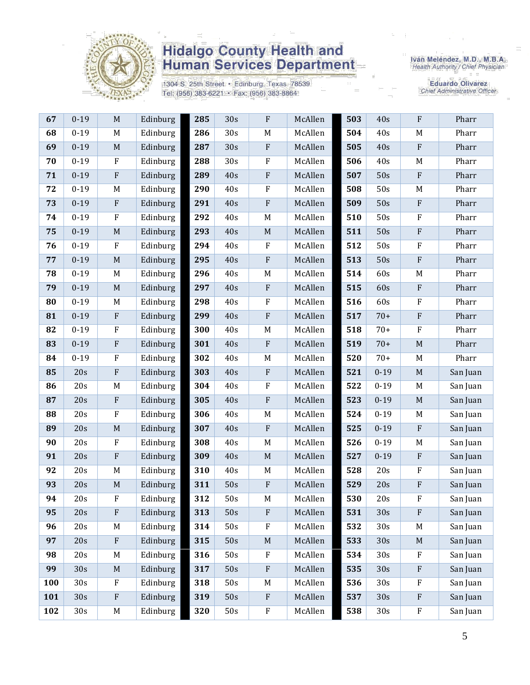

1304 S. 25th Street · Edinburg, Texas 78539 Tel: (956) 383-6221 · Fax: (956) 383-8864

Iván Meléndez, M.D., M.B.A.<br>Health Authority / Chief Physician

Eduardo Olivarez<br>Chief Administrative Officer

| 67  | $0-19$   | M                         | Edinburg | 285 | 30 <sub>s</sub> | F                         | McAllen | 503 | 40s             | F                         | Pharr    |
|-----|----------|---------------------------|----------|-----|-----------------|---------------------------|---------|-----|-----------------|---------------------------|----------|
| 68  | $0 - 19$ | M                         | Edinburg | 286 | 30s             | M                         | McAllen | 504 | 40s             | M                         | Pharr    |
| 69  | $0 - 19$ | $\mathbf M$               | Edinburg | 287 | 30s             | ${\bf F}$                 | McAllen | 505 | 40s             | $\rm F$                   | Pharr    |
| 70  | $0 - 19$ | $\rm F$                   | Edinburg | 288 | 30s             | $\rm F$                   | McAllen | 506 | 40s             | M                         | Pharr    |
| 71  | $0 - 19$ | ${\bf F}$                 | Edinburg | 289 | 40s             | ${\bf F}$                 | McAllen | 507 | 50s             | $\rm F$                   | Pharr    |
| 72  | $0 - 19$ | M                         | Edinburg | 290 | 40s             | ${\bf F}$                 | McAllen | 508 | 50s             | M                         | Pharr    |
| 73  | $0 - 19$ | $\boldsymbol{\mathrm{F}}$ | Edinburg | 291 | 40s             | ${\bf F}$                 | McAllen | 509 | 50s             | $\rm F$                   | Pharr    |
| 74  | $0 - 19$ | ${\bf F}$                 | Edinburg | 292 | $40s$           | $\mathbf M$               | McAllen | 510 | 50s             | $\rm F$                   | Pharr    |
| 75  | $0 - 19$ | M                         | Edinburg | 293 | 40s             | $\mathbf M$               | McAllen | 511 | 50s             | $\rm F$                   | Pharr    |
| 76  | $0 - 19$ | ${\bf F}$                 | Edinburg | 294 | 40s             | ${\bf F}$                 | McAllen | 512 | 50s             | $\rm F$                   | Pharr    |
| 77  | $0 - 19$ | $\mathbf M$               | Edinburg | 295 | 40s             | ${\bf F}$                 | McAllen | 513 | 50s             | $\rm F$                   | Pharr    |
| 78  | $0 - 19$ | M                         | Edinburg | 296 | 40s             | M                         | McAllen | 514 | 60s             | M                         | Pharr    |
| 79  | $0 - 19$ | $\mathbf M$               | Edinburg | 297 | 40s             | ${\bf F}$                 | McAllen | 515 | 60s             | $\rm F$                   | Pharr    |
| 80  | $0 - 19$ | $\mathbf M$               | Edinburg | 298 | 40s             | ${\bf F}$                 | McAllen | 516 | 60s             | $\rm F$                   | Pharr    |
| 81  | $0 - 19$ | $\rm F$                   | Edinburg | 299 | 40s             | ${\bf F}$                 | McAllen | 517 | $70+$           | $\rm F$                   | Pharr    |
| 82  | $0 - 19$ | ${\bf F}$                 | Edinburg | 300 | 40s             | M                         | McAllen | 518 | $70+$           | $\rm F$                   | Pharr    |
| 83  | $0 - 19$ | $\rm F$                   | Edinburg | 301 | 40s             | ${\bf F}$                 | McAllen | 519 | $70+$           | $\mathbf M$               | Pharr    |
| 84  | $0 - 19$ | $\rm F$                   | Edinburg | 302 | 40s             | $\mathbf M$               | McAllen | 520 | $70+$           | M                         | Pharr    |
| 85  | 20s      | ${\bf F}$                 | Edinburg | 303 | 40s             | $\boldsymbol{\mathrm{F}}$ | McAllen | 521 | $0 - 19$        | $\mathbf M$               | San Juan |
| 86  | 20s      | $\mathbf M$               | Edinburg | 304 | 40s             | ${\bf F}$                 | McAllen | 522 | $0 - 19$        | M                         | San Juan |
| 87  | 20s      | $\boldsymbol{\mathrm{F}}$ | Edinburg | 305 | 40s             | ${\bf F}$                 | McAllen | 523 | $0 - 19$        | $\mathbf M$               | San Juan |
| 88  | 20s      | $\mathbf F$               | Edinburg | 306 | 40s             | M                         | McAllen | 524 | $0 - 19$        | M                         | San Juan |
| 89  | 20s      | $\mathbf M$               | Edinburg | 307 | 40s             | ${\bf F}$                 | McAllen | 525 | $0 - 19$        | $\rm F$                   | San Juan |
| 90  | 20s      | $\rm F$                   | Edinburg | 308 | 40s             | $\mathbf M$               | McAllen | 526 | $0 - 19$        | M                         | San Juan |
| 91  | 20s      | ${\bf F}$                 | Edinburg | 309 | 40s             | $\mathbf M$               | McAllen | 527 | $0 - 19$        | $\,$ F                    | San Juan |
| 92  | 20s      | M                         | Edinburg | 310 | 40s             | M                         | McAllen | 528 | 20s             | $\rm F$                   | San Juan |
| 93  | 20s      | $\mathbf M$               | Edinburg | 311 | 50s             | $\rm F$                   | McAllen | 529 | 20s             | $\rm F$                   | San Juan |
| 94  | 20s      | ${\bf F}$                 | Edinburg | 312 | 50s             | $\mathbf M$               | McAllen | 530 | 20s             | ${\bf F}$                 | San Juan |
| 95  | 20s      | ${\bf F}$                 | Edinburg | 313 | 50s             | $\boldsymbol{\mathrm{F}}$ | McAllen | 531 | 30s             | ${\bf F}$                 | San Juan |
| 96  | 20s      | M                         | Edinburg | 314 | 50s             | ${\bf F}$                 | McAllen | 532 | 30 <sub>s</sub> | M                         | San Juan |
| 97  | 20s      | $\boldsymbol{\mathrm{F}}$ | Edinburg | 315 | 50s             | $\mathbf M$               | McAllen | 533 | 30s             | $\mathbf M$               | San Juan |
| 98  | 20s      | M                         | Edinburg | 316 | 50s             | F                         | McAllen | 534 | 30s             | $\mathbf{F}$              | San Juan |
| 99  | 30s      | $\mathbf M$               | Edinburg | 317 | 50s             | ${\bf F}$                 | McAllen | 535 | 30s             | $\boldsymbol{\mathrm{F}}$ | San Juan |
| 100 | 30s      | ${\bf F}$                 | Edinburg | 318 | 50s             | M                         | McAllen | 536 | 30 <sub>s</sub> | $\rm F$                   | San Juan |
| 101 | 30s      | ${\bf F}$                 | Edinburg | 319 | 50s             | $\rm F$                   | McAllen | 537 | 30s             | $\boldsymbol{\mathrm{F}}$ | San Juan |
| 102 | 30s      | M                         | Edinburg | 320 | 50s             | ${\bf F}$                 | McAllen | 538 | 30s             | $\mathbf F$               | San Juan |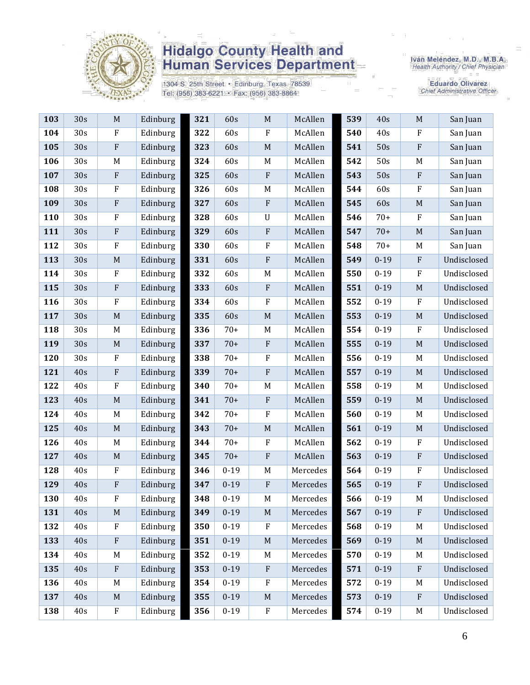

1304 S. 25th Street · Edinburg, Texas 78539 Tel: (956) 383-6221 · Fax: (956) 383-8864

Iván Meléndez, M.D., M.B.A.<br>Health Authority / Chief Physician

Eduardo Olivarez<br>Chief Administrative Officer

| 103 | 30s | $\mathbf M$               | Edinburg | 321 | 60s      | $\mathbf M$               | McAllen  | 539 | 40s      | $\mathbf M$               | San Juan    |
|-----|-----|---------------------------|----------|-----|----------|---------------------------|----------|-----|----------|---------------------------|-------------|
| 104 | 30s | $\rm F$                   | Edinburg | 322 | 60s      | $\rm F$                   | McAllen  | 540 | 40s      | F                         | San Juan    |
| 105 | 30s | $\rm F$                   | Edinburg | 323 | 60s      | $\mathbf M$               | McAllen  | 541 | 50s      | ${\bf F}$                 | San Juan    |
| 106 | 30s | M                         | Edinburg | 324 | 60s      | $M_{\odot}$               | McAllen  | 542 | 50s      | M                         | San Juan    |
| 107 | 30s | $\boldsymbol{\mathrm{F}}$ | Edinburg | 325 | 60s      | $\rm F$                   | McAllen  | 543 | 50s      | ${\bf F}$                 | San Juan    |
| 108 | 30s | $\mathbf F$               | Edinburg | 326 | 60s      | M                         | McAllen  | 544 | 60s      | $\boldsymbol{\mathrm{F}}$ | San Juan    |
| 109 | 30s | ${\bf F}$                 | Edinburg | 327 | 60s      | $\rm F$                   | McAllen  | 545 | 60s      | $\mathbf M$               | San Juan    |
| 110 | 30s | ${\bf F}$                 | Edinburg | 328 | 60s      | $\mathbf U$               | McAllen  | 546 | $70+$    | $\boldsymbol{\mathrm{F}}$ | San Juan    |
| 111 | 30s | $\rm F$                   | Edinburg | 329 | 60s      | $\rm F$                   | McAllen  | 547 | $70+$    | M                         | San Juan    |
| 112 | 30s | $\rm F$                   | Edinburg | 330 | 60s      | F                         | McAllen  | 548 | $70+$    | M                         | San Juan    |
| 113 | 30s | $\mathbf M$               | Edinburg | 331 | 60s      | $\rm F$                   | McAllen  | 549 | $0 - 19$ | $\rm F$                   | Undisclosed |
| 114 | 30s | ${\bf F}$                 | Edinburg | 332 | 60s      | $M_{\odot}$               | McAllen  | 550 | $0 - 19$ | $\boldsymbol{\mathrm{F}}$ | Undisclosed |
| 115 | 30s | $\rm F$                   | Edinburg | 333 | 60s      | $\boldsymbol{\mathrm{F}}$ | McAllen  | 551 | $0 - 19$ | $\mathbf M$               | Undisclosed |
| 116 | 30s | $\rm F$                   | Edinburg | 334 | 60s      | $\rm F$                   | McAllen  | 552 | $0 - 19$ | ${\bf F}$                 | Undisclosed |
| 117 | 30s | $\mathbf M$               | Edinburg | 335 | 60s      | $\mathbf M$               | McAllen  | 553 | $0 - 19$ | $\mathbf M$               | Undisclosed |
| 118 | 30s | M                         | Edinburg | 336 | $70+$    | M                         | McAllen  | 554 | $0 - 19$ | $\mathbf{F}$              | Undisclosed |
| 119 | 30s | M                         | Edinburg | 337 | $70+$    | $\rm F$                   | McAllen  | 555 | $0 - 19$ | $\mathbf M$               | Undisclosed |
| 120 | 30s | ${\bf F}$                 | Edinburg | 338 | $70+$    | $\rm F$                   | McAllen  | 556 | $0 - 19$ | M                         | Undisclosed |
| 121 | 40s | $\rm F$                   | Edinburg | 339 | $70+$    | $\rm F$                   | McAllen  | 557 | $0 - 19$ | M                         | Undisclosed |
| 122 | 40s | $\rm F$                   | Edinburg | 340 | $70+$    | M                         | McAllen  | 558 | $0 - 19$ | M                         | Undisclosed |
| 123 | 40s | $\mathbf M$               | Edinburg | 341 | $70+$    | $\rm F$                   | McAllen  | 559 | $0 - 19$ | M                         | Undisclosed |
| 124 | 40s | M                         | Edinburg | 342 | $70+$    | $\rm F$                   | McAllen  | 560 | $0 - 19$ | M                         | Undisclosed |
| 125 | 40s | $\mathbf M$               | Edinburg | 343 | $70+$    | $\mathbf M$               | McAllen  | 561 | $0 - 19$ | $\mathbf M$               | Undisclosed |
| 126 | 40s | M                         | Edinburg | 344 | $70+$    | $\rm F$                   | McAllen  | 562 | $0 - 19$ | $\boldsymbol{\mathrm{F}}$ | Undisclosed |
| 127 | 40s | $\mathbf M$               | Edinburg | 345 | $70+$    | $\rm F$                   | McAllen  | 563 | $0 - 19$ | ${\bf F}$                 | Undisclosed |
| 128 | 40s | ${\bf F}$                 | Edinburg | 346 | $0 - 19$ | $\mathbf M$               | Mercedes | 564 | $0 - 19$ | ${\bf F}$                 | Undisclosed |
| 129 | 40s | $\rm F$                   | Edinburg | 347 | $0 - 19$ | $\boldsymbol{\mathrm{F}}$ | Mercedes | 565 | $0 - 19$ | ${\bf F}$                 | Undisclosed |
| 130 | 40s | ${\bf F}$                 | Edinburg | 348 | $0 - 19$ | $\mathbf M$               | Mercedes | 566 | $0 - 19$ | M                         | Undisclosed |
| 131 | 40s | $\mathbf M$               | Edinburg | 349 | $0 - 19$ | $\mathbf M$               | Mercedes | 567 | $0 - 19$ | $\mathbf{F}$              | Undisclosed |
| 132 | 40s | F                         | Edinburg | 350 | $0 - 19$ | $\boldsymbol{F}$          | Mercedes | 568 | $0 - 19$ | M                         | Undisclosed |
| 133 | 40s | $\rm F$                   | Edinburg | 351 | $0 - 19$ | $\mathbf M$               | Mercedes | 569 | $0 - 19$ | $\mathbf M$               | Undisclosed |
| 134 | 40s | M                         | Edinburg | 352 | $0 - 19$ | $M_{\odot}$               | Mercedes | 570 | $0 - 19$ | M                         | Undisclosed |
| 135 | 40s | $\rm F$                   | Edinburg | 353 | $0 - 19$ | $\rm F$                   | Mercedes | 571 | $0 - 19$ | ${\bf F}$                 | Undisclosed |
| 136 | 40s | M                         | Edinburg | 354 | $0 - 19$ | $\rm F$                   | Mercedes | 572 | $0 - 19$ | M                         | Undisclosed |
| 137 | 40s | $\mathbf M$               | Edinburg | 355 | $0 - 19$ | $\mathbf M$               | Mercedes | 573 | $0 - 19$ | $\rm F$                   | Undisclosed |
| 138 | 40s | ${\bf F}$                 | Edinburg | 356 | $0 - 19$ | $\rm F$                   | Mercedes | 574 | $0 - 19$ | M                         | Undisclosed |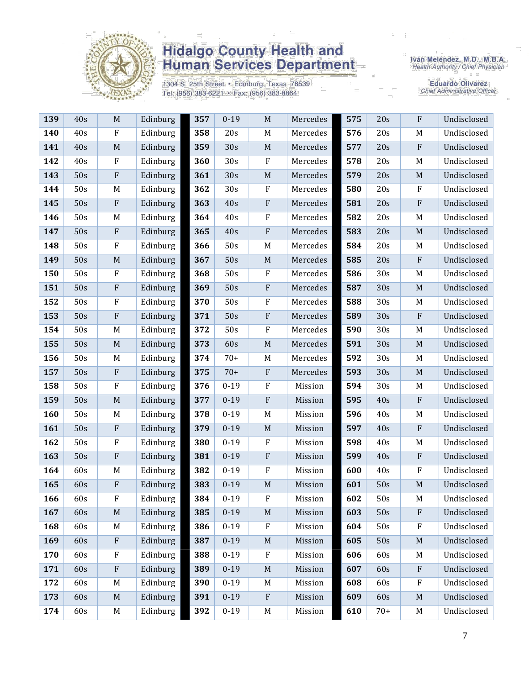

1304 S. 25th Street · Edinburg, Texas 78539 Tel: (956) 383-6221 · Fax: (956) 383-8864

Iván Meléndez, M.D., M.B.A.<br>Health Authority / Chief Physician

**Eduardo Olivarez** Chief Administrative Officer

| 139 | 40s | M            | Edinburg | 357 | $0 - 19$ | $\mathbf M$ | Mercedes | 575 | 20s   | $\mathbf{F}$ | Undisclosed |
|-----|-----|--------------|----------|-----|----------|-------------|----------|-----|-------|--------------|-------------|
| 140 | 40s | $\mathbf{F}$ | Edinburg | 358 | 20s      | $\mathbf M$ | Mercedes | 576 | 20s   | M            | Undisclosed |
| 141 | 40s | M            | Edinburg | 359 | 30s      | M           | Mercedes | 577 | 20s   | $\rm F$      | Undisclosed |
| 142 | 40s | $\mathbf{F}$ | Edinburg | 360 | 30s      | $\rm F$     | Mercedes | 578 | 20s   | M            | Undisclosed |
| 143 | 50s | $\rm F$      | Edinburg | 361 | 30s      | $\mathbf M$ | Mercedes | 579 | 20s   | M            | Undisclosed |
| 144 | 50s | M            | Edinburg | 362 | 30s      | $\rm F$     | Mercedes | 580 | 20s   | $\mathbf{F}$ | Undisclosed |
| 145 | 50s | $\mathbf{F}$ | Edinburg | 363 | 40s      | $\rm F$     | Mercedes | 581 | 20s   | $\rm F$      | Undisclosed |
| 146 | 50s | M            | Edinburg | 364 | 40s      | ${\bf F}$   | Mercedes | 582 | 20s   | M            | Undisclosed |
| 147 | 50s | $\rm F$      | Edinburg | 365 | 40s      | $\rm F$     | Mercedes | 583 | 20s   | M            | Undisclosed |
| 148 | 50s | $\mathbf{F}$ | Edinburg | 366 | 50s      | M           | Mercedes | 584 | 20s   | M            | Undisclosed |
| 149 | 50s | M            | Edinburg | 367 | 50s      | $M_{\odot}$ | Mercedes | 585 | 20s   | $\mathbf{F}$ | Undisclosed |
| 150 | 50s | $\mathbf{F}$ | Edinburg | 368 | 50s      | $\rm F$     | Mercedes | 586 | 30s   | M            | Undisclosed |
| 151 | 50s | $\rm F$      | Edinburg | 369 | 50s      | ${\bf F}$   | Mercedes | 587 | 30s   | M            | Undisclosed |
| 152 | 50s | $\mathbf F$  | Edinburg | 370 | 50s      | $\rm F$     | Mercedes | 588 | 30s   | M            | Undisclosed |
| 153 | 50s | $\rm F$      | Edinburg | 371 | 50s      | $\rm F$     | Mercedes | 589 | 30s   | $\mathbf{F}$ | Undisclosed |
| 154 | 50s | M            | Edinburg | 372 | 50s      | $\rm F$     | Mercedes | 590 | 30s   | M            | Undisclosed |
| 155 | 50s | $\mathbf M$  | Edinburg | 373 | 60s      | $\mathbf M$ | Mercedes | 591 | 30s   | M            | Undisclosed |
| 156 | 50s | M            | Edinburg | 374 | $70+$    | $M_{\rm}$   | Mercedes | 592 | 30s   | M            | Undisclosed |
| 157 | 50s | $\rm F$      | Edinburg | 375 | $70+$    | $\rm F$     | Mercedes | 593 | 30s   | $\mathbf M$  | Undisclosed |
| 158 | 50s | $\mathbf{F}$ | Edinburg | 376 | $0 - 19$ | $\rm F$     | Mission  | 594 | 30s   | M            | Undisclosed |
| 159 | 50s | M            | Edinburg | 377 | $0 - 19$ | $\rm F$     | Mission  | 595 | 40s   | $\rm F$      | Undisclosed |
| 160 | 50s | M            | Edinburg | 378 | $0 - 19$ | $M_{\rm}$   | Mission  | 596 | 40s   | M            | Undisclosed |
| 161 | 50s | $\rm F$      | Edinburg | 379 | $0 - 19$ | M           | Mission  | 597 | 40s   | $\rm F$      | Undisclosed |
| 162 | 50s | $\mathbf{F}$ | Edinburg | 380 | $0 - 19$ | $\rm F$     | Mission  | 598 | 40s   | M            | Undisclosed |
| 163 | 50s | $\mathbf{F}$ | Edinburg | 381 | $0 - 19$ | $\rm F$     | Mission  | 599 | 40s   | $\mathbf{F}$ | Undisclosed |
| 164 | 60s | M            | Edinburg | 382 | $0 - 19$ | $\rm F$     | Mission  | 600 | 40s   | $\mathbf{F}$ | Undisclosed |
| 165 | 60s | $\rm F$      | Edinburg | 383 | $0 - 19$ | $\mathbf M$ | Mission  | 601 | 50s   | $\mathbf M$  | Undisclosed |
| 166 | 60s | F            | Edinburg | 384 | $0-19$   | F           | Mission  | 602 | 50s   | M            | Undisclosed |
| 167 | 60s | $\mathbf M$  | Edinburg | 385 | $0 - 19$ | $\mathbf M$ | Mission  | 603 | 50s   | $\mathbf{F}$ | Undisclosed |
| 168 | 60s | M            | Edinburg | 386 | $0 - 19$ | $\rm F$     | Mission  | 604 | 50s   | $\mathbf{F}$ | Undisclosed |
| 169 | 60s | $\rm F$      | Edinburg | 387 | $0 - 19$ | $\mathbf M$ | Mission  | 605 | 50s   | M            | Undisclosed |
| 170 | 60s | $\rm F$      | Edinburg | 388 | $0 - 19$ | $\rm F$     | Mission  | 606 | 60s   | M            | Undisclosed |
| 171 | 60s | ${\bf F}$    | Edinburg | 389 | $0 - 19$ | $\mathbf M$ | Mission  | 607 | 60s   | $\rm F$      | Undisclosed |
| 172 | 60s | M            | Edinburg | 390 | $0 - 19$ | M           | Mission  | 608 | 60s   | $_{\rm F}$   | Undisclosed |
| 173 | 60s | M            | Edinburg | 391 | $0 - 19$ | $\rm F$     | Mission  | 609 | 60s   | M            | Undisclosed |
| 174 | 60s | M            | Edinburg | 392 | $0 - 19$ | $\mathbf M$ | Mission  | 610 | $70+$ | M            | Undisclosed |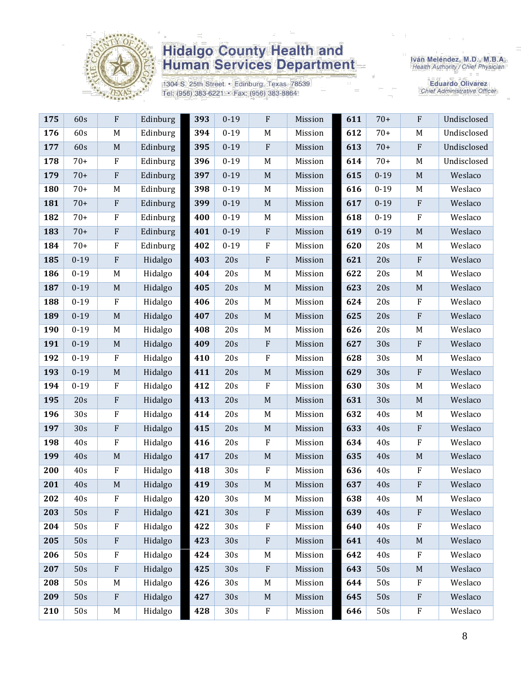

1304 S. 25th Street · Edinburg, Texas 78539 Tel: (956) 383-6221 · Fax: (956) 383-8864

Iván Meléndez, M.D., M.B.A.<br>Health Authority / Chief Physician

**Eduardo Olivarez** Chief Administrative Officer

| 175 | 60s      | ${\bf F}$                 | Edinburg | 393 | $0 - 19$ | $\rm F$     | Mission | 611 | $70+$    | ${\bf F}$        | Undisclosed |
|-----|----------|---------------------------|----------|-----|----------|-------------|---------|-----|----------|------------------|-------------|
| 176 | 60s      | $\mathbf M$               | Edinburg | 394 | $0 - 19$ | $\mathbf M$ | Mission | 612 | $70+$    | M                | Undisclosed |
| 177 | 60s      | $\mathbf M$               | Edinburg | 395 | $0 - 19$ | $\rm F$     | Mission | 613 | $70+$    | $\rm F$          | Undisclosed |
| 178 | $70+$    | $\rm F$                   | Edinburg | 396 | $0 - 19$ | M           | Mission | 614 | $70+$    | M                | Undisclosed |
| 179 | $70+$    | $\boldsymbol{\mathrm{F}}$ | Edinburg | 397 | $0 - 19$ | $\mathbf M$ | Mission | 615 | $0 - 19$ | $\mathbf M$      | Weslaco     |
| 180 | $70+$    | M                         | Edinburg | 398 | $0 - 19$ | $\mathbf M$ | Mission | 616 | $0 - 19$ | $\mathbf M$      | Weslaco     |
| 181 | $70+$    | ${\bf F}$                 | Edinburg | 399 | $0 - 19$ | $\mathbf M$ | Mission | 617 | $0 - 19$ | $\rm F$          | Weslaco     |
| 182 | $70+$    | $\rm F$                   | Edinburg | 400 | $0 - 19$ | M           | Mission | 618 | $0 - 19$ | ${\bf F}$        | Weslaco     |
| 183 | $70+$    | $\boldsymbol{\mathrm{F}}$ | Edinburg | 401 | $0 - 19$ | ${\bf F}$   | Mission | 619 | $0 - 19$ | $\mathbf M$      | Weslaco     |
| 184 | $70+$    | $\rm F$                   | Edinburg | 402 | $0 - 19$ | $\rm F$     | Mission | 620 | 20s      | M                | Weslaco     |
| 185 | $0 - 19$ | $\rm F$                   | Hidalgo  | 403 | 20s      | $\rm F$     | Mission | 621 | 20s      | $\rm F$          | Weslaco     |
| 186 | $0 - 19$ | M                         | Hidalgo  | 404 | 20s      | M           | Mission | 622 | 20s      | M                | Weslaco     |
| 187 | $0 - 19$ | $\mathbf M$               | Hidalgo  | 405 | 20s      | $\mathbf M$ | Mission | 623 | 20s      | $\mathbf M$      | Weslaco     |
| 188 | $0 - 19$ | $\rm F$                   | Hidalgo  | 406 | 20s      | $M_{\odot}$ | Mission | 624 | 20s      | ${\bf F}$        | Weslaco     |
| 189 | $0 - 19$ | $\mathbf M$               | Hidalgo  | 407 | 20s      | $\mathbf M$ | Mission | 625 | 20s      | $\rm F$          | Weslaco     |
| 190 | $0 - 19$ | $\mathbf M$               | Hidalgo  | 408 | 20s      | M           | Mission | 626 | 20s      | M                | Weslaco     |
| 191 | $0 - 19$ | $\mathbf M$               | Hidalgo  | 409 | 20s      | ${\bf F}$   | Mission | 627 | 30s      | $\rm F$          | Weslaco     |
| 192 | $0 - 19$ | $\mathbf F$               | Hidalgo  | 410 | 20s      | $\rm F$     | Mission | 628 | 30s      | M                | Weslaco     |
| 193 | $0 - 19$ | $\mathbf M$               | Hidalgo  | 411 | 20s      | $\mathbf M$ | Mission | 629 | 30s      | $\rm F$          | Weslaco     |
| 194 | $0 - 19$ | $\rm F$                   | Hidalgo  | 412 | 20s      | $\rm F$     | Mission | 630 | 30s      | M                | Weslaco     |
| 195 | 20s      | $\rm F$                   | Hidalgo  | 413 | 20s      | $\mathbf M$ | Mission | 631 | 30s      | $\mathbf M$      | Weslaco     |
| 196 | 30s      | $\rm F$                   | Hidalgo  | 414 | 20s      | M           | Mission | 632 | 40s      | M                | Weslaco     |
| 197 | 30s      | $\rm F$                   | Hidalgo  | 415 | 20s      | $\mathbf M$ | Mission | 633 | 40s      | $\rm F$          | Weslaco     |
| 198 | 40s      | $\rm F$                   | Hidalgo  | 416 | 20s      | $\rm F$     | Mission | 634 | 40s      | $\rm F$          | Weslaco     |
| 199 | 40s      | $\mathbf M$               | Hidalgo  | 417 | 20s      | $\mathbf M$ | Mission | 635 | 40s      | $\mathbf M$      | Weslaco     |
| 200 | 40s      | $\rm F$                   | Hidalgo  | 418 | 30s      | $\rm F$     | Mission | 636 | 40s      | $\rm F$          | Weslaco     |
| 201 | 40s      | $\mathbf M$               | Hidalgo  | 419 | 30s      | $\mathbf M$ | Mission | 637 | 40s      | ${\bf F}$        | Weslaco     |
| 202 | 40s      | F                         | Hidalgo  | 420 | 30s      | $\mathbf M$ | Mission | 638 | 40s      | M                | Weslaco     |
| 203 | 50s      | $\rm F$                   | Hidalgo  | 421 | 30s      | ${\bf F}$   | Mission | 639 | 40s      | $\rm F$          | Weslaco     |
| 204 | 50s      | $\rm F$                   | Hidalgo  | 422 | 30s      | $\rm F$     | Mission | 640 | 40s      | $\rm F$          | Weslaco     |
| 205 | 50s      | $\rm F$                   | Hidalgo  | 423 | 30s      | $\rm F$     | Mission | 641 | 40s      | M                | Weslaco     |
| 206 | 50s      | $\rm F$                   | Hidalgo  | 424 | 30s      | M           | Mission | 642 | 40s      | $\rm F$          | Weslaco     |
| 207 | 50s      | $\boldsymbol{\mathrm{F}}$ | Hidalgo  | 425 | 30s      | ${\bf F}$   | Mission | 643 | 50s      | $\mathbf M$      | Weslaco     |
| 208 | 50s      | M                         | Hidalgo  | 426 | 30s      | M           | Mission | 644 | 50s      | $\boldsymbol{F}$ | Weslaco     |
| 209 | 50s      | $\rm F$                   | Hidalgo  | 427 | 30s      | $\mathbf M$ | Mission | 645 | 50s      | F                | Weslaco     |
| 210 | 50s      | M                         | Hidalgo  | 428 | 30s      | $\rm F$     | Mission | 646 | 50s      | ${\bf F}$        | Weslaco     |